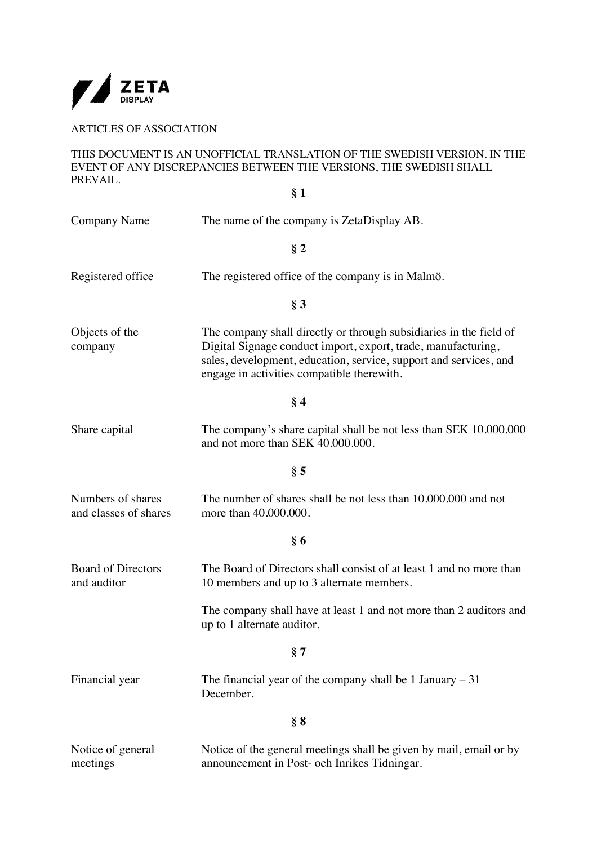

ARTICLES OF ASSOCIATION

THIS DOCUMENT IS AN UNOFFICIAL TRANSLATION OF THE SWEDISH VERSION. IN THE EVENT OF ANY DISCREPANCIES BETWEEN THE VERSIONS, THE SWEDISH SHALL PREVAIL. **§ 1**

| <b>Company Name</b>                        | The name of the company is ZetaDisplay AB.                                                                                                                                                                                                             |
|--------------------------------------------|--------------------------------------------------------------------------------------------------------------------------------------------------------------------------------------------------------------------------------------------------------|
|                                            | § 2                                                                                                                                                                                                                                                    |
| Registered office                          | The registered office of the company is in Malmö.                                                                                                                                                                                                      |
|                                            | § 3                                                                                                                                                                                                                                                    |
| Objects of the<br>company                  | The company shall directly or through subsidiaries in the field of<br>Digital Signage conduct import, export, trade, manufacturing,<br>sales, development, education, service, support and services, and<br>engage in activities compatible therewith. |
|                                            | § 4                                                                                                                                                                                                                                                    |
| Share capital                              | The company's share capital shall be not less than SEK 10.000.000<br>and not more than SEK 40.000.000.                                                                                                                                                 |
|                                            | § 5                                                                                                                                                                                                                                                    |
| Numbers of shares<br>and classes of shares | The number of shares shall be not less than 10,000,000 and not<br>more than 40.000.000.                                                                                                                                                                |
|                                            | §6                                                                                                                                                                                                                                                     |
| <b>Board of Directors</b><br>and auditor   | The Board of Directors shall consist of at least 1 and no more than<br>10 members and up to 3 alternate members.                                                                                                                                       |
|                                            | The company shall have at least 1 and not more than 2 auditors and<br>up to 1 alternate auditor.                                                                                                                                                       |
|                                            | § 7                                                                                                                                                                                                                                                    |
| Financial year                             | The financial year of the company shall be 1 January $-31$<br>December.                                                                                                                                                                                |
|                                            | § 8                                                                                                                                                                                                                                                    |
| Notice of general<br>meetings              | Notice of the general meetings shall be given by mail, email or by<br>announcement in Post- och Inrikes Tidningar.                                                                                                                                     |